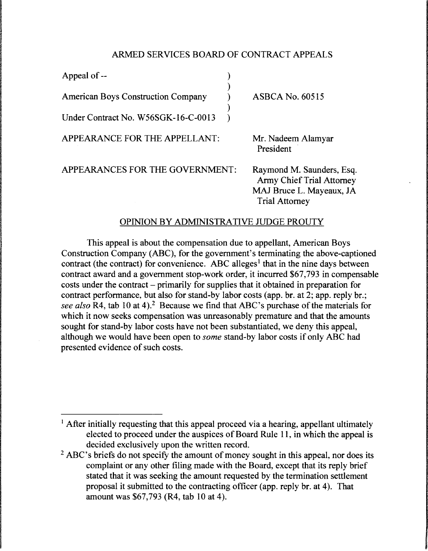#### ARMED SERVICES BOARD OF CONTRACT APPEALS

| Appeal of --                              |                                                                                                                    |
|-------------------------------------------|--------------------------------------------------------------------------------------------------------------------|
| <b>American Boys Construction Company</b> | <b>ASBCA No. 60515</b>                                                                                             |
| Under Contract No. W56SGK-16-C-0013       |                                                                                                                    |
| APPEARANCE FOR THE APPELLANT:             | Mr. Nadeem Alamyar<br>President                                                                                    |
| APPEARANCES FOR THE GOVERNMENT:           | Raymond M. Saunders, Esq.<br><b>Army Chief Trial Attorney</b><br>MAJ Bruce L. Mayeaux, JA<br><b>Trial Attorney</b> |

## OPINION BY ADMINISTRATIVE JUDGE PROUTY

This appeal is about the compensation due to appellant, American Boys Construction Company (ABC), for the government's terminating the above-captioned contract (the contract) for convenience. ABC alleges<sup>1</sup> that in the nine days between contract award and a government stop-work order, it incurred \$67,793 in compensable costs under the contract- primarily for supplies that it obtained in preparation for contract performance, but also for stand-by labor costs (app. hr. at 2; app. reply br.; *see also* R4, tab 10 at 4).2 Because we find that ABC's purchase of the materials for which it now seeks compensation was unreasonably premature and that the amounts sought for stand-by labor costs have not been substantiated, we deny this appeal, although we would have been open to *some* stand-by labor costs if only ABC had presented evidence of such costs.

<sup>&</sup>lt;sup>1</sup> After initially requesting that this appeal proceed via a hearing, appellant ultimately elected to proceed under the auspices of Board Rule 11, in which the appeal is decided exclusively upon the written record.

<sup>&</sup>lt;sup>2</sup> ABC's briefs do not specify the amount of money sought in this appeal, nor does its complaint or any other filing made with the Board, except that its reply brief stated that it was seeking the amount requested by the termination settlement proposal it submitted to the contracting officer (app. reply hr. at 4). That amount was \$67,793 (R4, tab 10 at 4).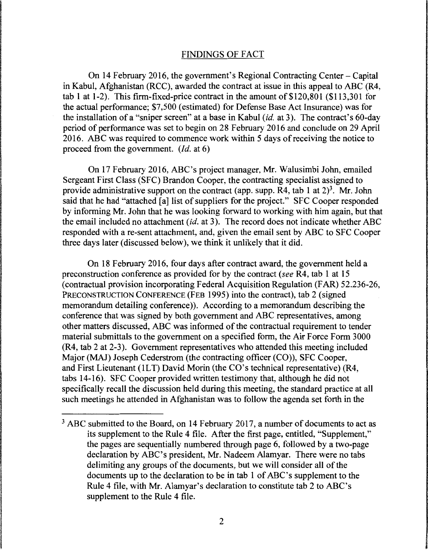## FINDINGS OF FACT

On 14 February 2016, the government's Regional Contracting Center- Capital in Kabul, Afghanistan (RCC), awarded the contract at issue in this appeal to ABC (R4, tab 1 at 1-2). This firm-fixed-price contract in the amount of  $$120,801$  ( $$113,301$  for the actual performance; \$7,500 (estimated) for Defense Base Act Insurance) was for the installation of a "sniper screen" at a base in Kabul *(id.* at 3). The contract's 60-day period of performance was set to begin on 28 February 2016 and conclude on 29 April 2016. ABC was required to commence work within 5 days of receiving the notice to proceed from the government. *(Id.* at 6)

On 17 February 2016, ABC's project manager, Mr. Walusimbi John, emailed Sergeant First Class (SFC) Brandon Cooper, the contracting specialist assigned to provide administrative support on the contract (app. supp. R4, tab 1 at  $2^3$ ). Mr. John said that he had "attached [a] list of suppliers for the project." SFC Cooper responded by informing Mr. John that he was looking forward to working with him again, but that the email included no attachment *(id.* at 3). The record does not indicate whether ABC responded with a re-sent attachment, and, given the email sent by ABC to SFC Cooper three days later (discussed below), we think it unlikely that it did.

On 18 February 2016, four days after contract award, the government held a preconstruction conference as provided for by the contract (see R4, tab 1 at 15 (contractual provision incorporating Federal Acquisition Regulation (FAR) 52.236-26, PRECONSTRUCTION CONFERENCE (FEB 1995) into the contract), tab 2 (signed memorandum detailing conference)). According to a memorandum describing the conference that was signed by both government and ABC representatives, among other matters discussed, ABC was informed of the contractual requirement to tender material submittals to the government on a specified form, the Air Force Form 3000 (R4, tab 2 at 2-3). Government representatives who attended this meeting included Major (MAJ) Joseph Cederstrom (the contracting officer (CO)), SFC Cooper, and First Lieutenant (lLT) David Morin (the CO's technical representative) (R4, tabs 14-16). SFC Cooper provided written testimony that, although he did not specifically recall the discussion held during this meeting, the standard practice at all such meetings he attended in Afghanistan was to follow the agenda set forth in the

 $3$  ABC submitted to the Board, on 14 February 2017, a number of documents to act as its supplement to the Rule 4 file. After the first page, entitled, "Supplement," the pages are sequentially numbered through page 6, followed by a two-page declaration by ABC's president, Mr. Nadeem Alamyar. There were no tabs delimiting any groups of the documents, but we will consider all of the documents up to the declaration to be in tab 1 of ABC's supplement to the Rule 4 file, with Mr. Alamyar's declaration to constitute tab 2 to ABC's supplement to the Rule 4 file.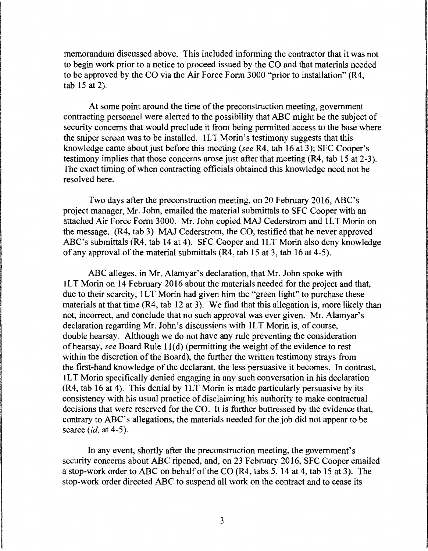memorandum discussed above. This included informing the contractor that it was not to begin work prior to a notice to proceed issued by the CO and that materials needed to be approved by the CO via the Air Force Form 3000 "prior to installation" (R4, tab 15 at 2).

At some point around the time of the preconstruction meeting, government contracting personnel were alerted to the possibility that ABC might be the subject of security concerns that would preclude it from being permitted access to the base where the sniper screen was to be installed. lLT Morin's testimony suggests that this knowledge came about just before this meeting *(see* R4, tab 16 at 3); SFC Cooper's testimony implies that those concerns arose just after that meeting (R4, tab 15 at 2-3 ). The exact timing of when contracting officials obtained this knowledge need not be resolved here.

Two days after the preconstruction meeting, on 20 February 2016, ABC's project manager, Mr. John, emailed the material submittals to SFC Cooper with an attached Air Force Form 3000. Mr. John copied MAJ Cederstrom and lLT Morin on the message. (R4, tab 3) MAJ Cederstrom, the CO, testified that he never approved ABC's submittals (R4, tab 14 at 4). SFC Cooper and lLT Morin also deny knowledge of any approval of the material submittals (R4, tab 15 at 3, tab 16 at 4-5).

ABC alleges, in Mr. Alamyar's declaration, that Mr. John spoke with lLT Morin on 14 February 2016 about the materials needed for the project and that, due to their scarcity, lLT Morin had given him the "green light" to purchase these materials at that time (R4, tab 12 at 3). We find that this allegation is, more likely than not, incorrect, and conclude that no such approval was ever given. Mr. Alamyar's declaration regarding Mr. John's discussions with lLT Morin is, of course, double hearsay. Although we do not have any rule preventing the consideration of hearsay, *see* Board Rule 1 l(d) (permitting the weight of the evidence to rest within the discretion of the Board), the further the written testimony strays from the first-hand knowledge of the declarant, the less persuasive it becomes. In contrast, lLT Morin specifically denied engaging in any such conversation in his declaration (R4, tab 16 at 4). This denial by lLT Morin is made particularly persuasive by its consistency with his usual practice of disclaiming his authority to make contractual decisions that were reserved for the CO. It is further buttressed by the evidence that, contrary to ABC's allegations, the materials needed for the job did not appear to be scarce *(id.* at 4-5).

In any event, shortly after the preconstruction meeting, the government's security concerns about ABC ripened, and, on 23 February 2016, SFC Cooper emailed a stop-work order to ABC on behalf of the CO (R4, tabs 5, 14 at 4, tab 15 at 3). The stop-work order directed ABC to suspend all work on the contract and to cease its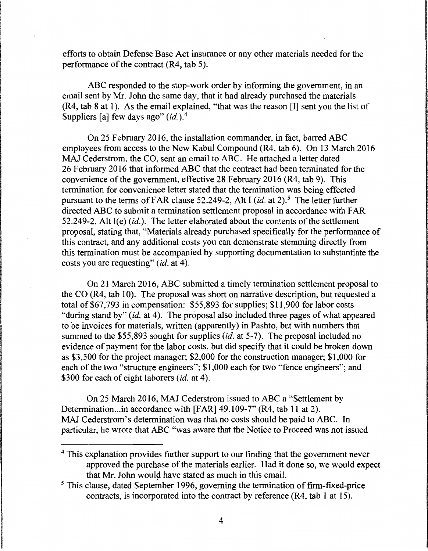efforts to obtain Defense Base Act insurance or any other materials needed for the performance of the contract (R4, tab 5).

ABC responded to the stop-work order by informing the government, in an email sent by Mr. John the same day, that it had already purchased the materials (R4, tab 8 at 1). As the email explained, "that was the reason [I] sent you the list of Suppliers [a] few days ago" (*id.*).<sup>4</sup>

On 25 February 2016, the installation commander, in fact, barred ABC employees from access to the New Kabul Compound (R4, tab 6). On 13 March 2016 MAJ Cederstrom, the CO, sent an email to ABC. He attached a letter dated 26 February 2016 that informed ABC that the contract had been terminated for the convenience of the government, effective 28 February 2016 (R4, tab 9). This termination for convenience letter stated that the termination was being effected pursuant to the terms of FAR clause 52.249-2, Alt I *(id. at 2)*<sup>5</sup>. The letter further directed ABC to submit a termination settlement proposal in accordance with FAR 52.249-2, Alt I(e) *(id.).* The letter elaborated about the contents of the settlement proposal, stating that, "Materials already purchased specifically for the performance of this contract, and any additional costs you can demonstrate stemming directly from this termination must be accompanied by supporting documentation to substantiate the costs you are requesting" (id. at 4).

On 21 March 2016, ABC submitted a timely termination settlement proposal to the CO (R4, tab 10). The proposal was short on narrative description, but requested a total of \$67,793 in compensation: \$55,893 for supplies; \$11,900 for labor costs "during stand by" (id. at 4). The proposal also included three pages of what appeared to be invoices for materials, written (apparently) in Pashto, but with numbers that summed to the \$55,893 sought for supplies *(id.* at 5-7). The proposal included no evidence of payment for the labor costs, but did specify that it could be broken down as \$3,500 for the project manager; \$2,000 for the construction manager; \$1,000 for each of the two "structure engineers"; \$1,000 each for two "fence engineers"; and \$300 for each of eight laborers (id. at 4).

On 25 March 2016, MAJ Cederstrom issued to ABC a "Settlement by Determination ... in accordance with [FAR] 49.109-7" (R4, tab 11 at 2). MAJ Cederstrom's determination was that no costs should be paid to ABC. In particular, he wrote that ABC "was aware that the Notice to Proceed was not issued

<sup>&</sup>lt;sup>4</sup> This explanation provides further support to our finding that the government never approved the purchase of the materials earlier. Had it done so, we would expect that Mr. John would have stated as much in this email.

*<sup>5</sup>*This clause, dated September 1996, governing the termination of firm-fixed-price contracts, is incorporated into the contract by reference (R4, tab 1 at 15).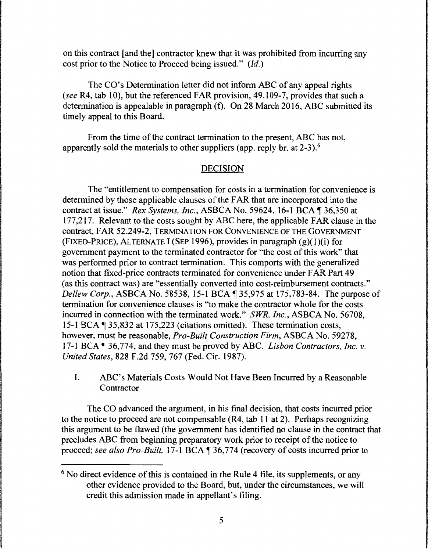on this contract [and the] contractor knew that it was prohibited from incurring any cost prior to the Notice to Proceed being issued." *(Id.)* 

The CO's Determination letter did not inform ABC of any appeal rights *(see* R4, tab 10), but the referenced FAR provision, 49.109-7, provides that such a determination is appealable in paragraph (f). On 28 March 2016, ABC submitted its timely appeal to this Board.

From the time of the contract termination to the present, ABC has not, apparently sold the materials to other suppliers (app. reply br. at 2-3).<sup>6</sup>

# DECISION

The "entitlement to compensation for costs in a termination for convenience is determined by those applicable clauses of the FAR that are incorporated into the contract at issue." *Rex Systems, Inc., ASBCA No.* 59624, 16-1 BCA ¶ 36,350 at 177 ,217. Relevant to the costs sought by ABC here, the applicable FAR clause in the contract, FAR 52.249-2, TERMINATION FOR CONVENIENCE OF THE GOVERNMENT (FIXED-PRICE), AL TERNA TE I (SEP 1996), provides in paragraph (g)( 1 )(i) for government payment to the terminated contractor for "the cost of this work" that was performed prior to contract termination. This comports with the generalized notion that fixed-price contracts terminated for convenience under FAR Part 49 (as this contract was) are "essentially converted into cost-reimbursement contracts." *Dellew Corp., ASBCA No.* 58538, 15-1 BCA  $\P$  35,975 at 175,783-84. The purpose of termination for convenience clauses is '"to make the contractor whole for the costs incurred in connection with the terminated work." *SWR, Inc.,* ASBCA No. 56708, 15-1BCA~35,832 at 175,223 (citations omitted). These termination costs, however, must be reasonable, *Pro-Built Construction Firm,* ASBCA No. 59278, 17-1BCA~36,774, and they must be proved by ABC. *Lisbon Contractors, Inc. v. United States,* 828 F.2d 759, 767 (Fed. Cir. 1987).

I. ABC's Materials Costs Would Not Have Been Incurred by a Reasonable Contractor

The CO advanced the argument, in his final decision, that costs incurred prior to the notice to proceed are not compensable (R4, tab 11 at 2). Perhaps recognizing this argument to be flawed (the government has identified no clause in the contract that precludes ABC from beginning preparatory work prior to receipt of the notice to proceed; *see also Pro-Built*, 17-1 BCA ¶ 36,774 (recovery of costs incurred prior to

<sup>&</sup>lt;sup>6</sup> No direct evidence of this is contained in the Rule 4 file, its supplements, or any other evidence provided to the Board, but, under the circumstances, we will credit this admission made in appellant's filing.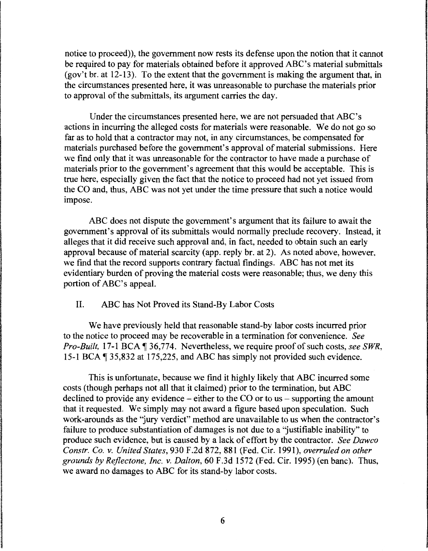notice to proceed)), the government now rests its defense upon the notion that it cannot be required to pay for materials obtained before it approved ABC's material submittals (gov't br. at 12-13). To the extent that the government is making the argument that, in the circumstances presented here, it was unreasonable to purchase the materials prior to approval of the submittals, its argument carries the day.

Under the circumstances presented here, we are not persuaded that ABC's actions in incurring the alleged costs for materials were reasonable. We do not go so far as to hold that a contractor may not, in any circumstances, be compensated for materials purchased before the government's approval of material submissions. Here we find only that it was unreasonable for the contractor to have made a purchase of materials prior to the government's agreement that this would be acceptable. This is true here, especially given the fact that the notice to proceed had not yet issued from the CO and, thus, ABC was not yet under the time pressure that such a notice would impose.

ABC does not dispute the government's argument that its failure to await the government's approval of its submittals would normally preclude recovery. Instead, it alleges that it did receive such approval and, in fact, needed to obtain such an early approval because of material scarcity (app. reply br. at 2). As noted above, however, we find that the record supports contrary factual findings. ABC has not met its evidentiary burden of proving the material costs were reasonable; thus, we deny this portion of ABC's appeal.

II. ABC has Not Proved its Stand-By Labor Costs

We have previously held that reasonable stand-by labor costs incurred prior to the notice to proceed may be recoverable in a termination for convenience. *See Pro-Built,* 17-1 BCA  $\P$  36,774. Nevertheless, we require proof of such costs, *see SWR*. 15-1 BCA  $\P$  35,832 at 175,225, and ABC has simply not provided such evidence.

This is unfortunate, because we find it highly likely that ABC incurred some costs (though perhaps not all that it claimed) prior to the termination, but ABC declined to provide any evidence  $-\frac{1}{2}$  either to the CO or to us  $-\frac{1}{2}$  supporting the amount that it requested. We simply may not award a figure based upon speculation. Such work-arounds as the "jury verdict" method are unavailable to us when the contractor's failure to produce substantiation of damages is not due to a "'justifiable inability" to produce such evidence, but is caused by a lack of effort by the contractor. *See Dawco Constr. Co. v. United States,* 930 F.2d 872, 881 (Fed. Cir. 1991), *overruled on other grounds by Rejlectone, Inc. v. Dalton,* 60 F.3d 1572 (Fed. Cir. 1995) (en bane). Thus, we award no damages to ABC for its stand-by labor costs.